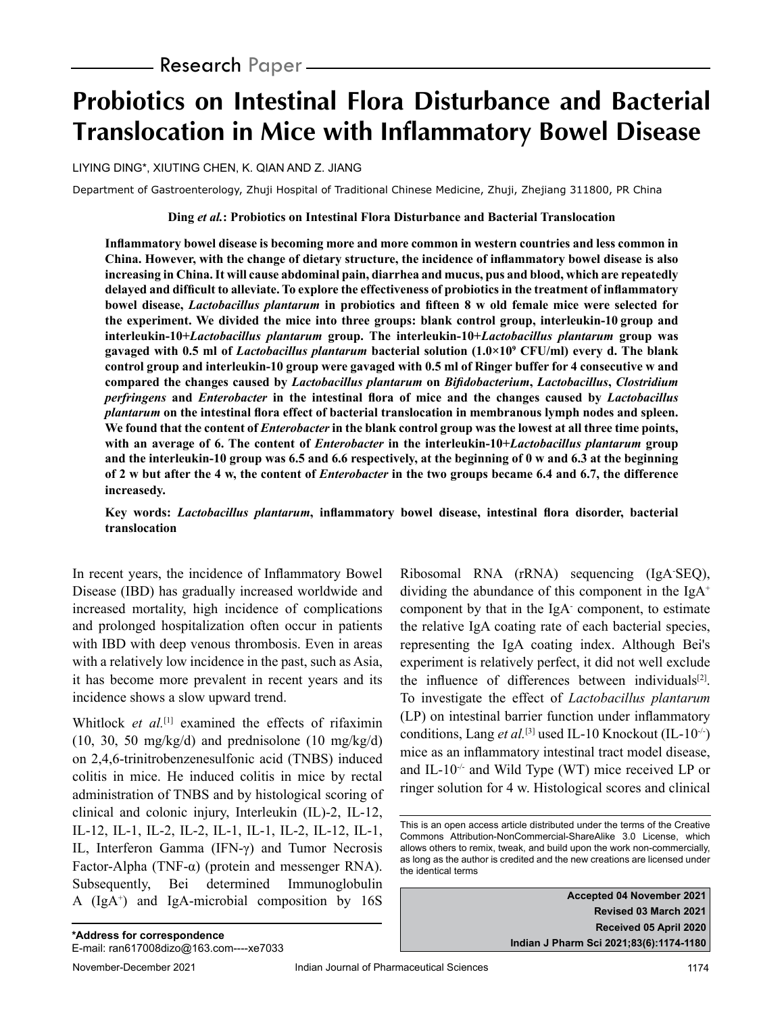# **Probiotics on Intestinal Flora Disturbance and Bacterial Translocation in Mice with Inflammatory Bowel Disease**

LIYING DING\*, XIUTING CHEN, K. QIAN AND Z. JIANG

Department of Gastroenterology, Zhuji Hospital of Traditional Chinese Medicine, Zhuji, Zhejiang 311800, PR China

**Ding** *et al.***: Probiotics on Intestinal Flora Disturbance and Bacterial Translocation**

**Inflammatory bowel disease is becoming more and more common in western countries and less common in China. However, with the change of dietary structure, the incidence of inflammatory bowel disease is also increasing in China. It will cause abdominal pain, diarrhea and mucus, pus and blood, which are repeatedly delayed and difficult to alleviate. To explore the effectiveness of probiotics in the treatment of inflammatory bowel disease,** *Lactobacillus plantarum* **in probiotics and fifteen 8 w old female mice were selected for the experiment. We divided the mice into three groups: blank control group, interleukin-10 group and interleukin-10+***Lactobacillus plantarum* **group. The interleukin-10+***Lactobacillus plantarum* **group was gavaged with 0.5 ml of** *Lactobacillus plantarum* **bacterial solution (1.0×10<sup>9</sup> CFU/ml) every d. The blank control group and interleukin-10 group were gavaged with 0.5 ml of Ringer buffer for 4 consecutive w and compared the changes caused by** *Lactobacillus plantarum* **on** *Bifidobacterium***,** *Lactobacillus***,** *Clostridium perfringens* **and** *Enterobacter* **in the intestinal flora of mice and the changes caused by** *Lactobacillus plantarum* **on the intestinal flora effect of bacterial translocation in membranous lymph nodes and spleen. We found that the content of** *Enterobacter* **in the blank control group was the lowest at all three time points, with an average of 6. The content of** *Enterobacter* **in the interleukin-10+***Lactobacillus plantarum* **group and the interleukin-10 group was 6.5 and 6.6 respectively, at the beginning of 0 w and 6.3 at the beginning of 2 w but after the 4 w, the content of** *Enterobacter* **in the two groups became 6.4 and 6.7, the difference increasedy.**

**Key words:** *Lactobacillus plantarum***, inflammatory bowel disease, intestinal flora disorder, bacterial translocation**

In recent years, the incidence of Inflammatory Bowel Disease (IBD) has gradually increased worldwide and increased mortality, high incidence of complications and prolonged hospitalization often occur in patients with IBD with deep venous thrombosis. Even in areas with a relatively low incidence in the past, such as Asia, it has become more prevalent in recent years and its incidence shows a slow upward trend.

Whitlock *et al.*<sup>[1]</sup> examined the effects of rifaximin  $(10, 30, 50 \text{ mg/kg/d})$  and prednisolone  $(10 \text{ mg/kg/d})$ on 2,4,6-trinitrobenzenesulfonic acid (TNBS) induced colitis in mice. He induced colitis in mice by rectal administration of TNBS and by histological scoring of clinical and colonic injury, Interleukin (IL)-2, IL-12, IL-12, IL-1, IL-2, IL-2, IL-1, IL-1, IL-2, IL-12, IL-1, IL, Interferon Gamma (IFN-γ) and Tumor Necrosis Factor-Alpha (TNF- $\alpha$ ) (protein and messenger RNA). Subsequently, Bei determined Immunoglobulin A (IgA<sup>+</sup> ) and IgA-microbial composition by 16S

Ribosomal RNA (rRNA) sequencing (IgA-SEQ), dividing the abundance of this component in the IgA<sup>+</sup> component by that in the IgA- component, to estimate the relative IgA coating rate of each bacterial species, representing the IgA coating index. Although Bei's experiment is relatively perfect, it did not well exclude the influence of differences between individuals $[2]$ . To investigate the effect of *Lactobacillus plantarum* (LP) on intestinal barrier function under inflammatory conditions, Lang *et al.*[3] used IL-10 Knockout (IL-10-/-) mice as an inflammatory intestinal tract model disease, and IL-10 $\div$  and Wild Type (WT) mice received LP or ringer solution for 4 w. Histological scores and clinical

**Accepted 04 November 2021 Revised 03 March 2021 Received 05 April 2020 Indian J Pharm Sci 2021;83(6):1174-1180**

This is an open access article distributed under the terms of the Creative Commons Attribution-NonCommercial-ShareAlike 3.0 License, which allows others to remix, tweak, and build upon the work non-commercially, as long as the author is credited and the new creations are licensed under the identical terms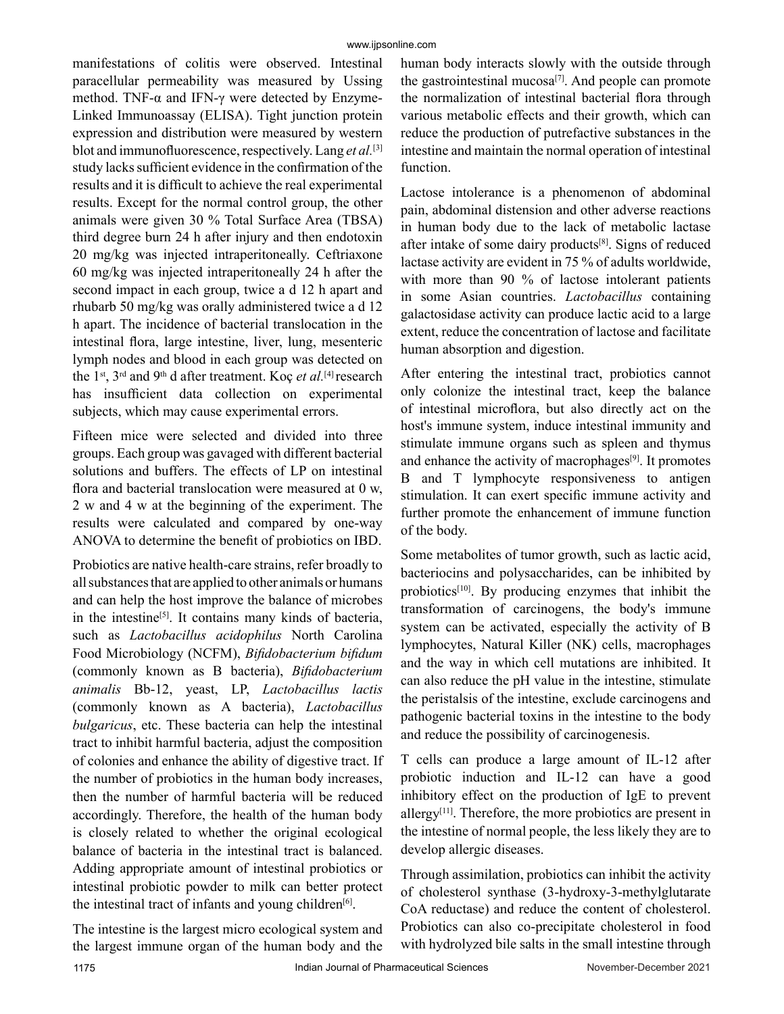manifestations of colitis were observed. Intestinal paracellular permeability was measured by Ussing method. TNF- $\alpha$  and IFN- $\gamma$  were detected by Enzyme-Linked Immunoassay (ELISA). Tight junction protein expression and distribution were measured by western blot and immunofluorescence, respectively. Lang *et al.*[3] study lacks sufficient evidence in the confirmation of the results and it is difficult to achieve the real experimental results. Except for the normal control group, the other animals were given 30 % Total Surface Area (TBSA) third degree burn 24 h after injury and then endotoxin 20 mg/kg was injected intraperitoneally. Ceftriaxone 60 mg/kg was injected intraperitoneally 24 h after the second impact in each group, twice a d 12 h apart and rhubarb 50 mg/kg was orally administered twice a d 12 h apart. The incidence of bacterial translocation in the intestinal flora, large intestine, liver, lung, mesenteric lymph nodes and blood in each group was detected on the 1st, 3rd and 9th d after treatment. Koç *et al.*[4] research has insufficient data collection on experimental subjects, which may cause experimental errors.

Fifteen mice were selected and divided into three groups. Each group was gavaged with different bacterial solutions and buffers. The effects of LP on intestinal flora and bacterial translocation were measured at 0 w, 2 w and 4 w at the beginning of the experiment. The results were calculated and compared by one-way ANOVA to determine the benefit of probiotics on IBD.

Probiotics are native health-care strains, refer broadly to all substances that are applied to other animals or humans and can help the host improve the balance of microbes in the intestine<sup>[5]</sup>. It contains many kinds of bacteria, such as *Lactobacillus acidophilus* North Carolina Food Microbiology (NCFM), *Bifidobacterium bifidum* (commonly known as B bacteria), *Bifidobacterium animalis* Bb-12, yeast, LP, *Lactobacillus lactis* (commonly known as A bacteria), *Lactobacillus bulgaricus*, etc. These bacteria can help the intestinal tract to inhibit harmful bacteria, adjust the composition of colonies and enhance the ability of digestive tract. If the number of probiotics in the human body increases, then the number of harmful bacteria will be reduced accordingly. Therefore, the health of the human body is closely related to whether the original ecological balance of bacteria in the intestinal tract is balanced. Adding appropriate amount of intestinal probiotics or intestinal probiotic powder to milk can better protect the intestinal tract of infants and young children $[6]$ .

The intestine is the largest micro ecological system and the largest immune organ of the human body and the human body interacts slowly with the outside through the gastrointestinal mucosa<sup>[7]</sup>. And people can promote the normalization of intestinal bacterial flora through various metabolic effects and their growth, which can reduce the production of putrefactive substances in the intestine and maintain the normal operation of intestinal function.

Lactose intolerance is a phenomenon of abdominal pain, abdominal distension and other adverse reactions in human body due to the lack of metabolic lactase after intake of some dairy products[8]. Signs of reduced lactase activity are evident in 75 % of adults worldwide, with more than 90 % of lactose intolerant patients in some Asian countries. *Lactobacillus* containing galactosidase activity can produce lactic acid to a large extent, reduce the concentration of lactose and facilitate human absorption and digestion.

After entering the intestinal tract, probiotics cannot only colonize the intestinal tract, keep the balance of intestinal microflora, but also directly act on the host's immune system, induce intestinal immunity and stimulate immune organs such as spleen and thymus and enhance the activity of macrophages<sup>[9]</sup>. It promotes B and T lymphocyte responsiveness to antigen stimulation. It can exert specific immune activity and further promote the enhancement of immune function of the body.

Some metabolites of tumor growth, such as lactic acid, bacteriocins and polysaccharides, can be inhibited by probiotics<sup>[10]</sup>. By producing enzymes that inhibit the transformation of carcinogens, the body's immune system can be activated, especially the activity of B lymphocytes, Natural Killer (NK) cells, macrophages and the way in which cell mutations are inhibited. It can also reduce the pH value in the intestine, stimulate the peristalsis of the intestine, exclude carcinogens and pathogenic bacterial toxins in the intestine to the body and reduce the possibility of carcinogenesis.

T cells can produce a large amount of IL-12 after probiotic induction and IL-12 can have a good inhibitory effect on the production of IgE to prevent allergy<sup>[11]</sup>. Therefore, the more probiotics are present in the intestine of normal people, the less likely they are to develop allergic diseases.

Through assimilation, probiotics can inhibit the activity of cholesterol synthase (3-hydroxy-3-methylglutarate CoA reductase) and reduce the content of cholesterol. Probiotics can also co-precipitate cholesterol in food with hydrolyzed bile salts in the small intestine through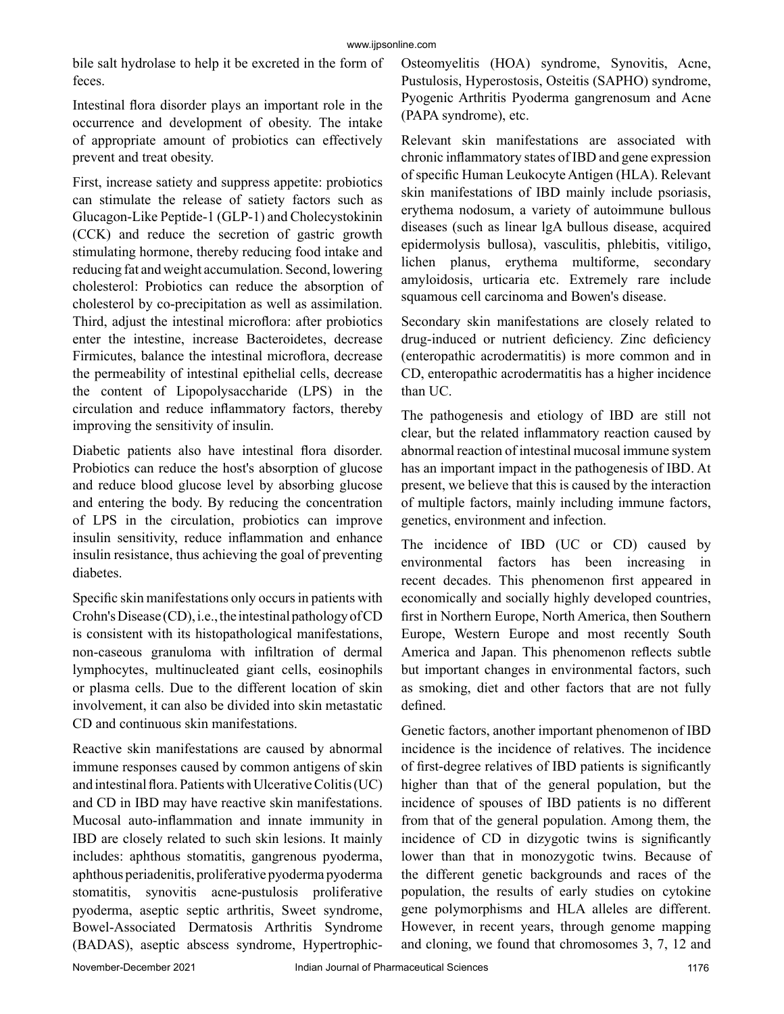bile salt hydrolase to help it be excreted in the form of feces.

Intestinal flora disorder plays an important role in the occurrence and development of obesity. The intake of appropriate amount of probiotics can effectively prevent and treat obesity.

First, increase satiety and suppress appetite: probiotics can stimulate the release of satiety factors such as Glucagon-Like Peptide-1 (GLP-1) and Cholecystokinin (CCK) and reduce the secretion of gastric growth stimulating hormone, thereby reducing food intake and reducing fat and weight accumulation. Second, lowering cholesterol: Probiotics can reduce the absorption of cholesterol by co-precipitation as well as assimilation. Third, adjust the intestinal microflora: after probiotics enter the intestine, increase Bacteroidetes, decrease Firmicutes, balance the intestinal microflora, decrease the permeability of intestinal epithelial cells, decrease the content of Lipopolysaccharide (LPS) in the circulation and reduce inflammatory factors, thereby improving the sensitivity of insulin.

Diabetic patients also have intestinal flora disorder. Probiotics can reduce the host's absorption of glucose and reduce blood glucose level by absorbing glucose and entering the body. By reducing the concentration of LPS in the circulation, probiotics can improve insulin sensitivity, reduce inflammation and enhance insulin resistance, thus achieving the goal of preventing diabetes.

Specific skin manifestations only occurs in patients with Crohn's Disease (CD), i.e., the intestinal pathology of CD is consistent with its histopathological manifestations, non-caseous granuloma with infiltration of dermal lymphocytes, multinucleated giant cells, eosinophils or plasma cells. Due to the different location of skin involvement, it can also be divided into skin metastatic CD and continuous skin manifestations.

Reactive skin manifestations are caused by abnormal immune responses caused by common antigens of skin and intestinal flora. Patients with Ulcerative Colitis (UC) and CD in IBD may have reactive skin manifestations. Mucosal auto-inflammation and innate immunity in IBD are closely related to such skin lesions. It mainly includes: aphthous stomatitis, gangrenous pyoderma, aphthous periadenitis, proliferative pyoderma pyoderma stomatitis, synovitis acne-pustulosis proliferative pyoderma, aseptic septic arthritis, Sweet syndrome, Bowel-Associated Dermatosis Arthritis Syndrome (BADAS), aseptic abscess syndrome, HypertrophicOsteomyelitis (HOA) syndrome, Synovitis, Acne, Pustulosis, Hyperostosis, Osteitis (SAPHO) syndrome, Pyogenic Arthritis Pyoderma gangrenosum and Acne (PAPA syndrome), etc.

Relevant skin manifestations are associated with chronic inflammatory states of IBD and gene expression of specific Human Leukocyte Antigen (HLA). Relevant skin manifestations of IBD mainly include psoriasis, erythema nodosum, a variety of autoimmune bullous diseases (such as linear lgA bullous disease, acquired epidermolysis bullosa), vasculitis, phlebitis, vitiligo, lichen planus, erythema multiforme, secondary amyloidosis, urticaria etc. Extremely rare include squamous cell carcinoma and Bowen's disease.

Secondary skin manifestations are closely related to drug-induced or nutrient deficiency. Zinc deficiency (enteropathic acrodermatitis) is more common and in CD, enteropathic acrodermatitis has a higher incidence than UC.

The pathogenesis and etiology of IBD are still not clear, but the related inflammatory reaction caused by abnormal reaction of intestinal mucosal immune system has an important impact in the pathogenesis of IBD. At present, we believe that this is caused by the interaction of multiple factors, mainly including immune factors, genetics, environment and infection.

The incidence of IBD (UC or CD) caused by environmental factors has been increasing in recent decades. This phenomenon first appeared in economically and socially highly developed countries, first in Northern Europe, North America, then Southern Europe, Western Europe and most recently South America and Japan. This phenomenon reflects subtle but important changes in environmental factors, such as smoking, diet and other factors that are not fully defined.

Genetic factors, another important phenomenon of IBD incidence is the incidence of relatives. The incidence of first-degree relatives of IBD patients is significantly higher than that of the general population, but the incidence of spouses of IBD patients is no different from that of the general population. Among them, the incidence of CD in dizygotic twins is significantly lower than that in monozygotic twins. Because of the different genetic backgrounds and races of the population, the results of early studies on cytokine gene polymorphisms and HLA alleles are different. However, in recent years, through genome mapping and cloning, we found that chromosomes 3, 7, 12 and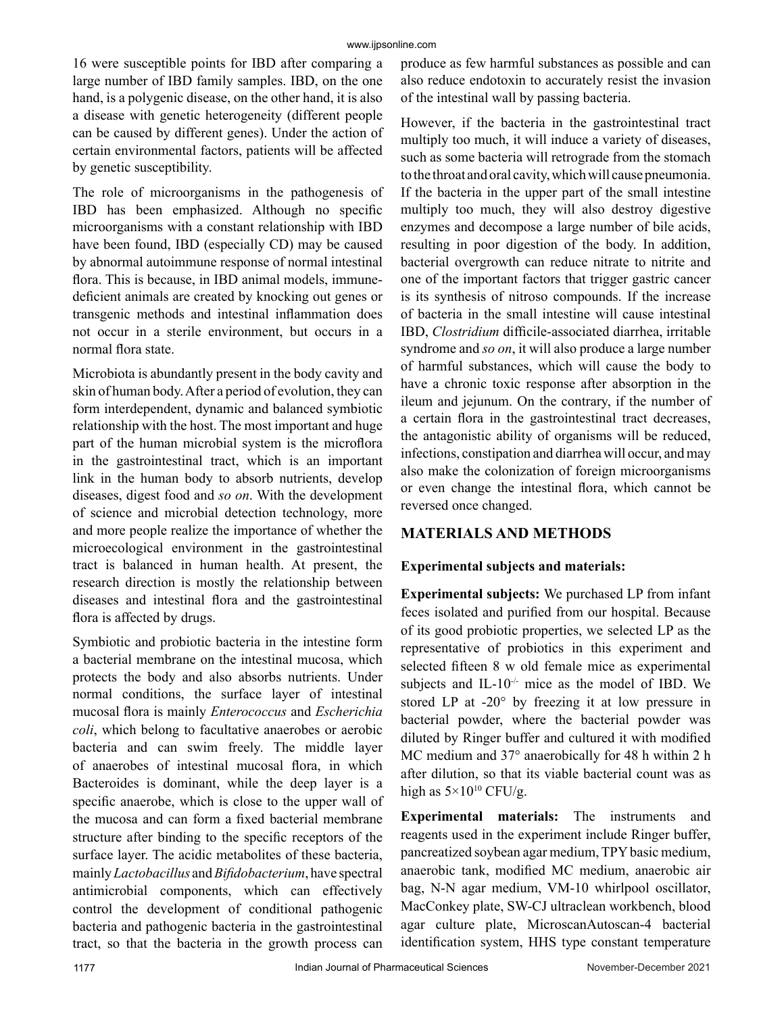16 were susceptible points for IBD after comparing a large number of IBD family samples. IBD, on the one hand, is a polygenic disease, on the other hand, it is also a disease with genetic heterogeneity (different people can be caused by different genes). Under the action of certain environmental factors, patients will be affected by genetic susceptibility.

The role of microorganisms in the pathogenesis of IBD has been emphasized. Although no specific microorganisms with a constant relationship with IBD have been found, IBD (especially CD) may be caused by abnormal autoimmune response of normal intestinal flora. This is because, in IBD animal models, immunedeficient animals are created by knocking out genes or transgenic methods and intestinal inflammation does not occur in a sterile environment, but occurs in a normal flora state.

Microbiota is abundantly present in the body cavity and skin of human body. After a period of evolution, they can form interdependent, dynamic and balanced symbiotic relationship with the host. The most important and huge part of the human microbial system is the microflora in the gastrointestinal tract, which is an important link in the human body to absorb nutrients, develop diseases, digest food and *so on*. With the development of science and microbial detection technology, more and more people realize the importance of whether the microecological environment in the gastrointestinal tract is balanced in human health. At present, the research direction is mostly the relationship between diseases and intestinal flora and the gastrointestinal flora is affected by drugs.

Symbiotic and probiotic bacteria in the intestine form a bacterial membrane on the intestinal mucosa, which protects the body and also absorbs nutrients. Under normal conditions, the surface layer of intestinal mucosal flora is mainly *Enterococcus* and *Escherichia coli*, which belong to facultative anaerobes or aerobic bacteria and can swim freely. The middle layer of anaerobes of intestinal mucosal flora, in which Bacteroides is dominant, while the deep layer is a specific anaerobe, which is close to the upper wall of the mucosa and can form a fixed bacterial membrane structure after binding to the specific receptors of the surface layer. The acidic metabolites of these bacteria, mainly *Lactobacillus* and *Bifidobacterium*, have spectral antimicrobial components, which can effectively control the development of conditional pathogenic bacteria and pathogenic bacteria in the gastrointestinal tract, so that the bacteria in the growth process can

produce as few harmful substances as possible and can also reduce endotoxin to accurately resist the invasion of the intestinal wall by passing bacteria.

However, if the bacteria in the gastrointestinal tract multiply too much, it will induce a variety of diseases, such as some bacteria will retrograde from the stomach to the throat and oral cavity, which will cause pneumonia. If the bacteria in the upper part of the small intestine multiply too much, they will also destroy digestive enzymes and decompose a large number of bile acids, resulting in poor digestion of the body. In addition, bacterial overgrowth can reduce nitrate to nitrite and one of the important factors that trigger gastric cancer is its synthesis of nitroso compounds. If the increase of bacteria in the small intestine will cause intestinal IBD, *Clostridium* difficile-associated diarrhea, irritable syndrome and *so on*, it will also produce a large number of harmful substances, which will cause the body to have a chronic toxic response after absorption in the ileum and jejunum. On the contrary, if the number of a certain flora in the gastrointestinal tract decreases, the antagonistic ability of organisms will be reduced, infections, constipation and diarrhea will occur, and may also make the colonization of foreign microorganisms or even change the intestinal flora, which cannot be reversed once changed.

## **MATERIALS AND METHODS**

#### **Experimental subjects and materials:**

**Experimental subjects:** We purchased LP from infant feces isolated and purified from our hospital. Because of its good probiotic properties, we selected LP as the representative of probiotics in this experiment and selected fifteen 8 w old female mice as experimental subjects and IL- $10^{-/-}$  mice as the model of IBD. We stored LP at -20° by freezing it at low pressure in bacterial powder, where the bacterial powder was diluted by Ringer buffer and cultured it with modified MC medium and 37° anaerobically for 48 h within 2 h after dilution, so that its viable bacterial count was as high as  $5 \times 10^{10}$  CFU/g.

**Experimental materials:** The instruments and reagents used in the experiment include Ringer buffer, pancreatized soybean agar medium, TPY basic medium, anaerobic tank, modified MC medium, anaerobic air bag, N-N agar medium, VM-10 whirlpool oscillator, MacConkey plate, SW-CJ ultraclean workbench, blood agar culture plate, MicroscanAutoscan-4 bacterial identification system, HHS type constant temperature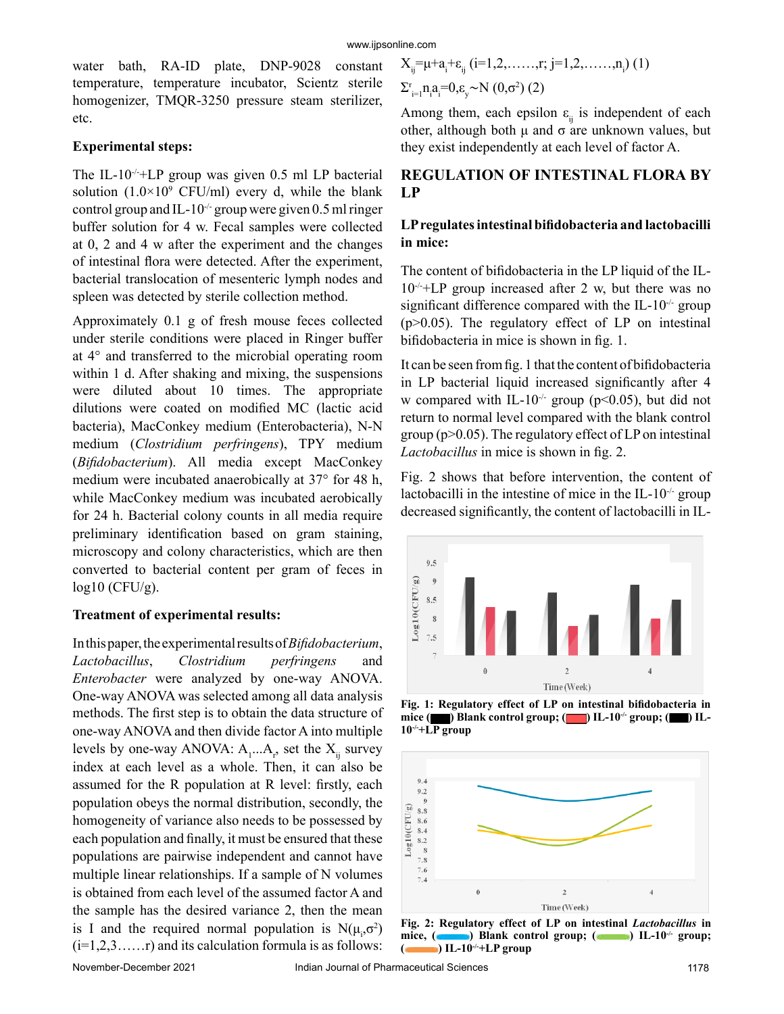water bath, RA-ID plate, DNP-9028 constant temperature, temperature incubator, Scientz sterile homogenizer, TMQR-3250 pressure steam sterilizer, etc.

#### **Experimental steps:**

The IL-10<sup>-/-+</sup>LP group was given 0.5 ml LP bacterial solution  $(1.0 \times 10^9 \text{ CFU/ml})$  every d, while the blank control group and IL-10<sup>-/-</sup> group were given 0.5 ml ringer buffer solution for 4 w. Fecal samples were collected at 0, 2 and 4 w after the experiment and the changes of intestinal flora were detected. After the experiment, bacterial translocation of mesenteric lymph nodes and spleen was detected by sterile collection method.

Approximately 0.1 g of fresh mouse feces collected under sterile conditions were placed in Ringer buffer at 4° and transferred to the microbial operating room within 1 d. After shaking and mixing, the suspensions were diluted about 10 times. The appropriate dilutions were coated on modified MC (lactic acid bacteria), MacConkey medium (Enterobacteria), N-N medium (*Clostridium perfringens*), TPY medium (*Bifidobacterium*). All media except MacConkey medium were incubated anaerobically at 37° for 48 h, while MacConkey medium was incubated aerobically for 24 h. Bacterial colony counts in all media require preliminary identification based on gram staining, microscopy and colony characteristics, which are then converted to bacterial content per gram of feces in  $log10$  (CFU/g).

#### **Treatment of experimental results:**

In this paper, the experimental results of *Bifidobacterium*, *Lactobacillus*, *Clostridium perfringens* and *Enterobacter* were analyzed by one-way ANOVA. One-way ANOVA was selected among all data analysis methods. The first step is to obtain the data structure of one-way ANOVA and then divide factor A into multiple levels by one-way ANOVA:  $A_1...A_r$ , set the  $X_{ij}$  survey index at each level as a whole. Then, it can also be assumed for the R population at R level: firstly, each population obeys the normal distribution, secondly, the homogeneity of variance also needs to be possessed by each population and finally, it must be ensured that these populations are pairwise independent and cannot have multiple linear relationships. If a sample of N volumes is obtained from each level of the assumed factor A and the sample has the desired variance 2, then the mean is I and the required normal population is  $N(\mu_i, \sigma^2)$  $(i=1,2,3,\ldots,r)$  and its calculation formula is as follows:

$$
X_{ij} = \mu + a_i + \varepsilon_{ij} \ (i = 1, 2, \dots, r; \ j = 1, 2, \dots, n_i) \ (1)
$$
  
\n
$$
\Sigma_{i=1}^{r} n_i a_i = 0, \varepsilon_{y} \sim N \ (0, \sigma^2) \ (2)
$$

Among them, each epsilon  $\varepsilon$ <sub>ii</sub> is independent of each other, although both μ and σ are unknown values, but they exist independently at each level of factor A.

## **REGULATION OF INTESTINAL FLORA BY LP**

#### **LP regulates intestinal bifidobacteria and lactobacilli in mice:**

The content of bifidobacteria in the LP liquid of the IL- $10^{-/-}$ +LP group increased after 2 w, but there was no significant difference compared with the IL-10<sup>-/-</sup> group  $(p>0.05)$ . The regulatory effect of LP on intestinal bifidobacteria in mice is shown in fig. 1.

It can be seen from fig. 1 that the content of bifidobacteria in LP bacterial liquid increased significantly after 4 w compared with IL-10<sup>-/-</sup> group ( $p$ <0.05), but did not return to normal level compared with the blank control group ( $p > 0.05$ ). The regulatory effect of LP on intestinal *Lactobacillus* in mice is shown in fig. 2.

Fig. 2 shows that before intervention, the content of lactobacilli in the intestine of mice in the IL-10 $\cdot$  group decreased significantly, the content of lactobacilli in IL-



**Fig. 1: Regulatory effect of LP on intestinal bifidobacteria in mice ( ) Blank control group; ( ) IL-10-/- group; ( ) IL-10-/-+LP group**



**Fig. 2: Regulatory effect of LP on intestinal** *Lactobacillus* **in**  mice, (**a)** Blank control group; (**a)** IL-10<sup>-/</sup>- group; **( ) IL-10-/-+LP group**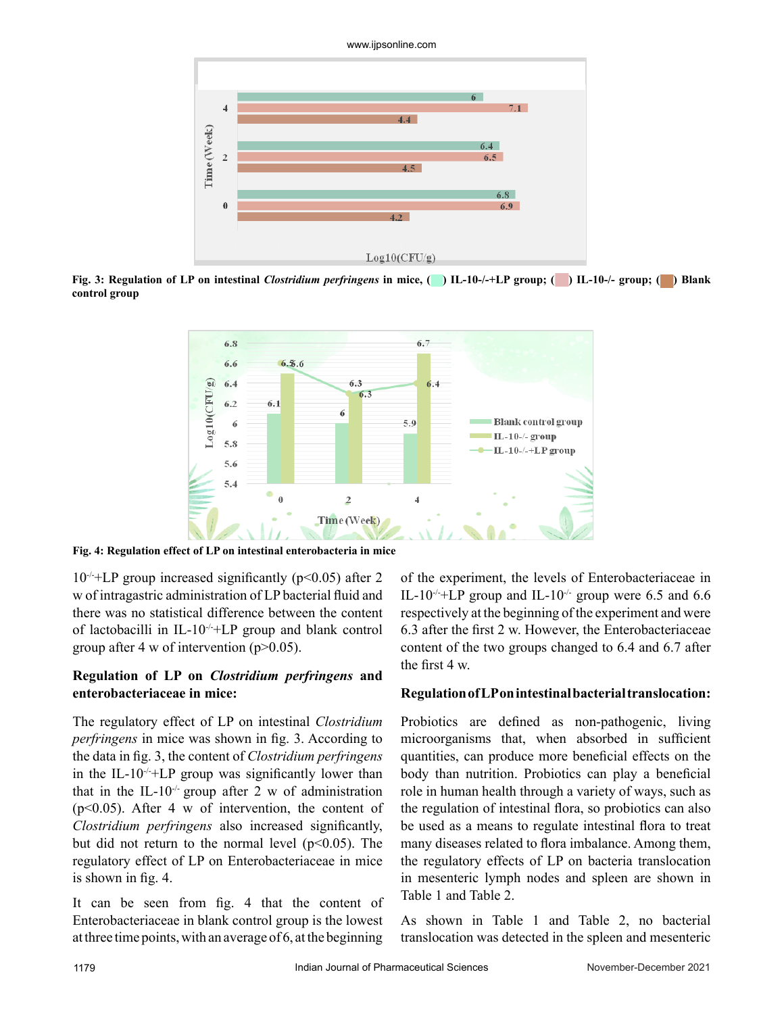

**Fig. 3: Regulation of LP on intestinal** *Clostridium perfringens* **in mice, ( ) IL-10-/-+LP group; ( ) IL-10-/- group; ( ) Blank control group** 



**Fig. 4: Regulation effect of LP on intestinal enterobacteria in mice**

 $10^{-/-}$ +LP group increased significantly (p<0.05) after 2 w of intragastric administration of LP bacterial fluid and there was no statistical difference between the content of lactobacilli in IL-10 $\div$ +LP group and blank control group after 4 w of intervention  $(p>0.05)$ .

## **Regulation of LP on** *Clostridium perfringens* **and enterobacteriaceae in mice:**

The regulatory effect of LP on intestinal *Clostridium perfringens* in mice was shown in fig. 3. According to the data in fig. 3, the content of *Clostridium perfringens* in the IL-10 $\rightarrow$ -+LP group was significantly lower than that in the IL-10<sup>-/-</sup> group after 2 w of administration  $(p<0.05)$ . After 4 w of intervention, the content of *Clostridium perfringens* also increased significantly, but did not return to the normal level  $(p<0.05)$ . The regulatory effect of LP on Enterobacteriaceae in mice is shown in fig. 4.

It can be seen from fig. 4 that the content of Enterobacteriaceae in blank control group is the lowest at three time points, with an average of 6, at the beginning of the experiment, the levels of Enterobacteriaceae in IL-10<sup>-/-+</sup>LP group and IL-10<sup>-/-</sup> group were 6.5 and 6.6 respectively at the beginning of the experiment and were 6.3 after the first 2 w. However, the Enterobacteriaceae content of the two groups changed to 6.4 and 6.7 after the first 4 w.

## **Regulation of LP on intestinal bacterial translocation:**

Probiotics are defined as non-pathogenic, living microorganisms that, when absorbed in sufficient quantities, can produce more beneficial effects on the body than nutrition. Probiotics can play a beneficial role in human health through a variety of ways, such as the regulation of intestinal flora, so probiotics can also be used as a means to regulate intestinal flora to treat many diseases related to flora imbalance. Among them, the regulatory effects of LP on bacteria translocation in mesenteric lymph nodes and spleen are shown in Table 1 and Table 2.

As shown in Table 1 and Table 2, no bacterial translocation was detected in the spleen and mesenteric